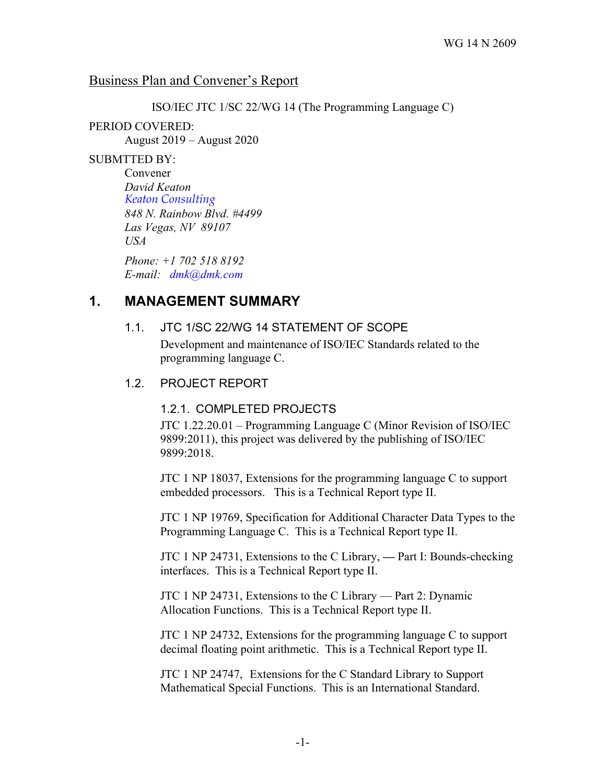### Business Plan and Convener's Report

ISO/IEC JTC 1/SC 22/WG 14 (The Programming Language C)

### PERIOD COVERED:

August 2019 – August 2020

#### SUBMTTED BY:

Convener *David Keaton Keaton Consulting 848 N. Rainbow Blvd. #4499 Las Vegas, NV 89107 USA*

*Phone: +1 702 518 8192 E-mail: dmk@dmk.com*

# **1. MANAGEMENT SUMMARY**

### 1.1. JTC 1/SC 22/WG 14 STATEMENT OF SCOPE

Development and maintenance of ISO/IEC Standards related to the programming language C.

### 1.2. PROJECT REPORT

### 1.2.1. COMPLETED PROJECTS

JTC 1.22.20.01 – Programming Language C (Minor Revision of ISO/IEC 9899:2011), this project was delivered by the publishing of ISO/IEC 9899:2018.

JTC 1 NP 18037, Extensions for the programming language C to support embedded processors. This is a Technical Report type II.

JTC 1 NP 19769, Specification for Additional Character Data Types to the Programming Language C. This is a Technical Report type II.

JTC 1 NP 24731, Extensions to the C Library, **—** Part I: Bounds-checking interfaces. This is a Technical Report type II.

JTC 1 NP 24731, Extensions to the C Library — Part 2: Dynamic Allocation Functions. This is a Technical Report type II.

JTC 1 NP 24732, Extensions for the programming language C to support decimal floating point arithmetic. This is a Technical Report type II.

JTC 1 NP 24747, Extensions for the C Standard Library to Support Mathematical Special Functions. This is an International Standard.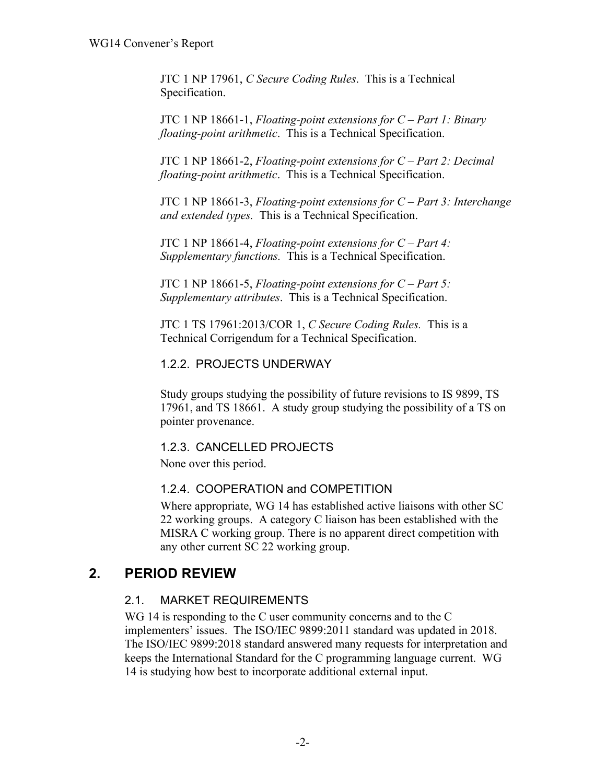JTC 1 NP 17961, *C Secure Coding Rules*. This is a Technical Specification.

JTC 1 NP 18661-1, *Floating-point extensions for C – Part 1: Binary floating-point arithmetic*. This is a Technical Specification.

JTC 1 NP 18661-2, *Floating-point extensions for C – Part 2: Decimal floating-point arithmetic*. This is a Technical Specification.

JTC 1 NP 18661-3, *Floating-point extensions for C – Part 3: Interchange and extended types.* This is a Technical Specification.

JTC 1 NP 18661-4, *Floating-point extensions for C – Part 4: Supplementary functions.* This is a Technical Specification.

JTC 1 NP 18661-5, *Floating-point extensions for C – Part 5: Supplementary attributes*. This is a Technical Specification.

JTC 1 TS 17961:2013/COR 1, *C Secure Coding Rules.* This is a Technical Corrigendum for a Technical Specification.

### 1.2.2. PROJECTS UNDERWAY

Study groups studying the possibility of future revisions to IS 9899, TS 17961, and TS 18661. A study group studying the possibility of a TS on pointer provenance.

### 1.2.3. CANCELLED PROJECTS

None over this period.

### 1.2.4. COOPERATION and COMPETITION

Where appropriate, WG 14 has established active liaisons with other SC 22 working groups. A category C liaison has been established with the MISRA C working group. There is no apparent direct competition with any other current SC 22 working group.

# **2. PERIOD REVIEW**

### 2.1. MARKET REQUIREMENTS

WG 14 is responding to the C user community concerns and to the C implementers' issues. The ISO/IEC 9899:2011 standard was updated in 2018. The ISO/IEC 9899:2018 standard answered many requests for interpretation and keeps the International Standard for the C programming language current. WG 14 is studying how best to incorporate additional external input.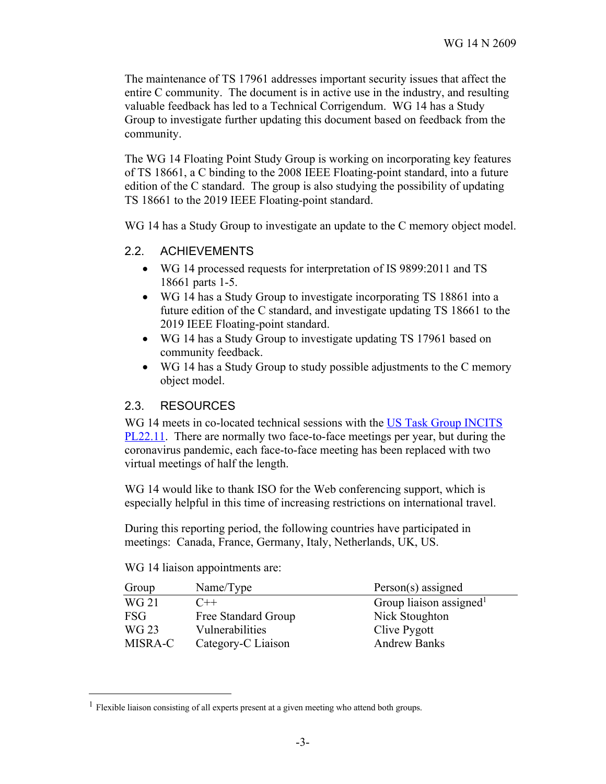The maintenance of TS 17961 addresses important security issues that affect the entire C community. The document is in active use in the industry, and resulting valuable feedback has led to a Technical Corrigendum. WG 14 has a Study Group to investigate further updating this document based on feedback from the community.

The WG 14 Floating Point Study Group is working on incorporating key features of TS 18661, a C binding to the 2008 IEEE Floating-point standard, into a future edition of the C standard. The group is also studying the possibility of updating TS 18661 to the 2019 IEEE Floating-point standard.

WG 14 has a Study Group to investigate an update to the C memory object model.

#### 2.2. ACHIEVEMENTS

- WG 14 processed requests for interpretation of IS 9899:2011 and TS 18661 parts 1-5.
- WG 14 has a Study Group to investigate incorporating TS 18861 into a future edition of the C standard, and investigate updating TS 18661 to the 2019 IEEE Floating-point standard.
- WG 14 has a Study Group to investigate updating TS 17961 based on community feedback.
- WG 14 has a Study Group to study possible adjustments to the C memory object model.

#### 2.3. RESOURCES

WG 14 meets in co-located technical sessions with the US Task Group INCITS PL22.11. There are normally two face-to-face meetings per year, but during the coronavirus pandemic, each face-to-face meeting has been replaced with two virtual meetings of half the length.

WG 14 would like to thank ISO for the Web conferencing support, which is especially helpful in this time of increasing restrictions on international travel.

During this reporting period, the following countries have participated in meetings: Canada, France, Germany, Italy, Netherlands, UK, US.

#### WG 14 liaison appointments are:

| Group        | Name/Type           | $Person(s)$ assigned                |
|--------------|---------------------|-------------------------------------|
| <b>WG 21</b> | $C++$               | Group liaison assigned <sup>1</sup> |
| <b>FSG</b>   | Free Standard Group | Nick Stoughton                      |
| WG 23        | Vulnerabilities     | Clive Pygott                        |
| MISRA-C      | Category-C Liaison  | <b>Andrew Banks</b>                 |

<sup>&</sup>lt;sup>1</sup> Flexible liaison consisting of all experts present at a given meeting who attend both groups.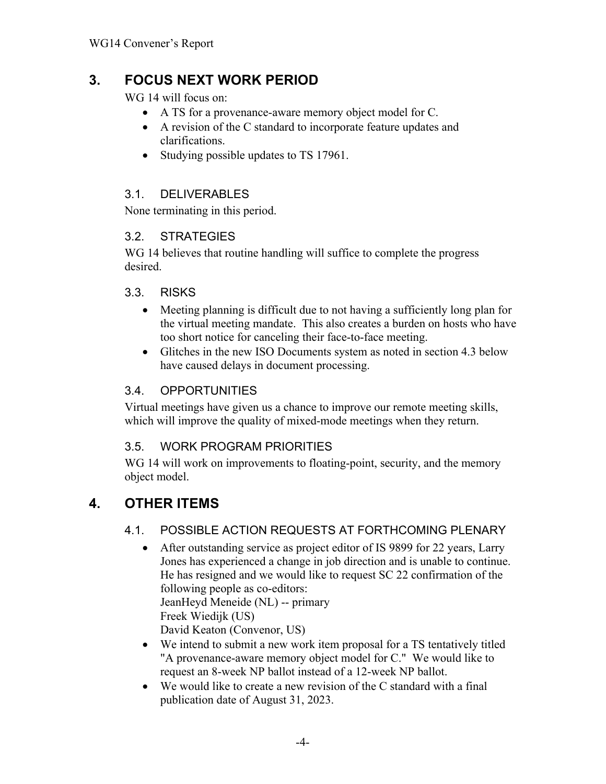# **3. FOCUS NEXT WORK PERIOD**

WG 14 will focus on:

- A TS for a provenance-aware memory object model for C.
- A revision of the C standard to incorporate feature updates and clarifications.
- Studying possible updates to TS 17961.

# 3.1. DELIVERABLES

None terminating in this period.

## 3.2. STRATEGIES

WG 14 believes that routine handling will suffice to complete the progress desired.

### 3.3. RISKS

- Meeting planning is difficult due to not having a sufficiently long plan for the virtual meeting mandate. This also creates a burden on hosts who have too short notice for canceling their face-to-face meeting.
- Glitches in the new ISO Documents system as noted in section 4.3 below have caused delays in document processing.

# 3.4. OPPORTUNITIES

Virtual meetings have given us a chance to improve our remote meeting skills, which will improve the quality of mixed-mode meetings when they return.

# 3.5. WORK PROGRAM PRIORITIES

WG 14 will work on improvements to floating-point, security, and the memory object model.

# **4. OTHER ITEMS**

# 4.1. POSSIBLE ACTION REQUESTS AT FORTHCOMING PLENARY

- After outstanding service as project editor of IS 9899 for 22 years, Larry Jones has experienced a change in job direction and is unable to continue. He has resigned and we would like to request SC 22 confirmation of the following people as co-editors: JeanHeyd Meneide (NL) -- primary Freek Wiedijk (US) David Keaton (Convenor, US)
- We intend to submit a new work item proposal for a TS tentatively titled "A provenance-aware memory object model for C." We would like to request an 8-week NP ballot instead of a 12-week NP ballot.
- We would like to create a new revision of the C standard with a final publication date of August 31, 2023.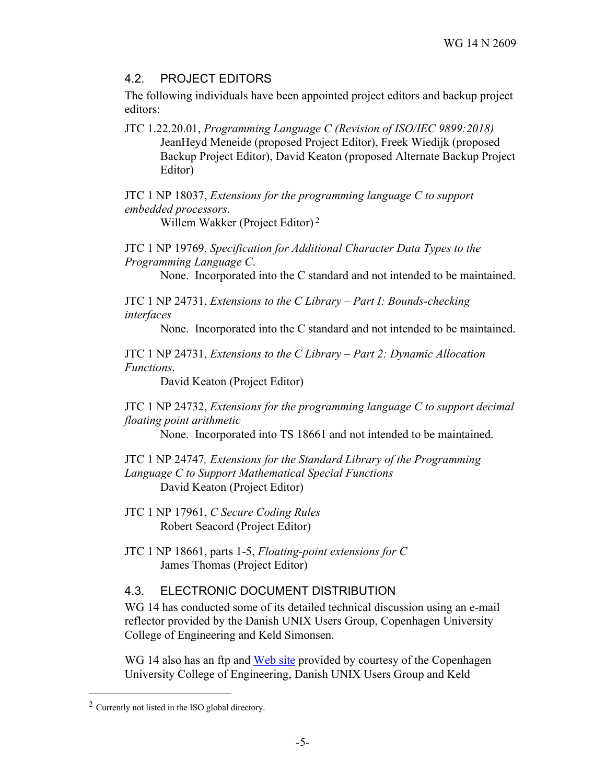### 4.2. PROJECT EDITORS

The following individuals have been appointed project editors and backup project editors:

JTC 1.22.20.01, *Programming Language C (Revision of ISO/IEC 9899:2018)* JeanHeyd Meneide (proposed Project Editor), Freek Wiedijk (proposed Backup Project Editor), David Keaton (proposed Alternate Backup Project Editor)

JTC 1 NP 18037, *Extensions for the programming language C to support embedded processors*.

Willem Wakker (Project Editor) <sup>2</sup>

JTC 1 NP 19769, *Specification for Additional Character Data Types to the Programming Language C*.

None. Incorporated into the C standard and not intended to be maintained.

JTC 1 NP 24731, *Extensions to the C Library – Part I: Bounds-checking interfaces*

None. Incorporated into the C standard and not intended to be maintained.

JTC 1 NP 24731, *Extensions to the C Library – Part 2: Dynamic Allocation Functions*.

David Keaton (Project Editor)

JTC 1 NP 24732, *Extensions for the programming language C to support decimal floating point arithmetic*

None. Incorporated into TS 18661 and not intended to be maintained.

JTC 1 NP 24747*, Extensions for the Standard Library of the Programming Language C to Support Mathematical Special Functions* David Keaton (Project Editor)

JTC 1 NP 17961, *C Secure Coding Rules* Robert Seacord (Project Editor)

JTC 1 NP 18661, parts 1-5, *Floating-point extensions for C* James Thomas (Project Editor)

### 4.3. ELECTRONIC DOCUMENT DISTRIBUTION

WG 14 has conducted some of its detailed technical discussion using an e-mail reflector provided by the Danish UNIX Users Group, Copenhagen University College of Engineering and Keld Simonsen.

WG 14 also has an ftp and Web site provided by courtesy of the Copenhagen University College of Engineering, Danish UNIX Users Group and Keld

 $2$  Currently not listed in the ISO global directory.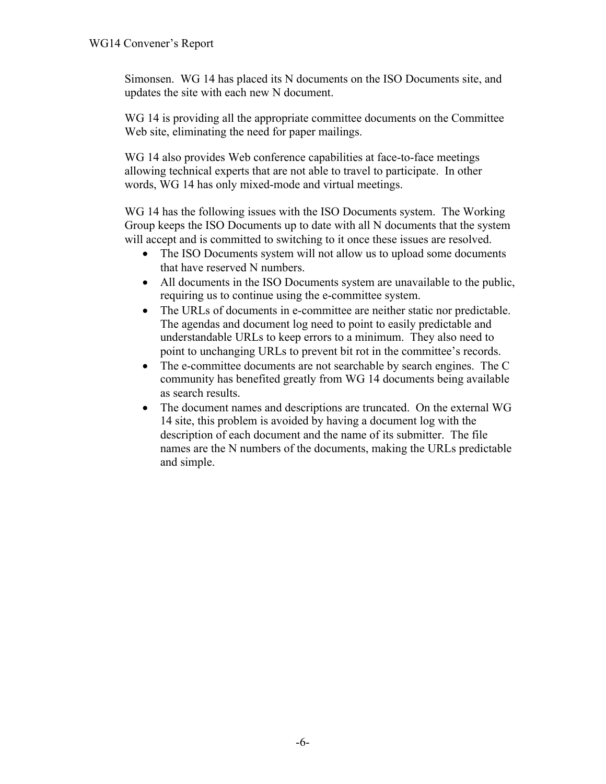Simonsen. WG 14 has placed its N documents on the ISO Documents site, and updates the site with each new N document.

WG 14 is providing all the appropriate committee documents on the Committee Web site, eliminating the need for paper mailings.

WG 14 also provides Web conference capabilities at face-to-face meetings allowing technical experts that are not able to travel to participate. In other words, WG 14 has only mixed-mode and virtual meetings.

WG 14 has the following issues with the ISO Documents system. The Working Group keeps the ISO Documents up to date with all N documents that the system will accept and is committed to switching to it once these issues are resolved.

- The ISO Documents system will not allow us to upload some documents that have reserved N numbers.
- All documents in the ISO Documents system are unavailable to the public, requiring us to continue using the e-committee system.
- The URLs of documents in e-committee are neither static nor predictable. The agendas and document log need to point to easily predictable and understandable URLs to keep errors to a minimum. They also need to point to unchanging URLs to prevent bit rot in the committee's records.
- The e-committee documents are not searchable by search engines. The C community has benefited greatly from WG 14 documents being available as search results.
- The document names and descriptions are truncated. On the external WG 14 site, this problem is avoided by having a document log with the description of each document and the name of its submitter. The file names are the N numbers of the documents, making the URLs predictable and simple.